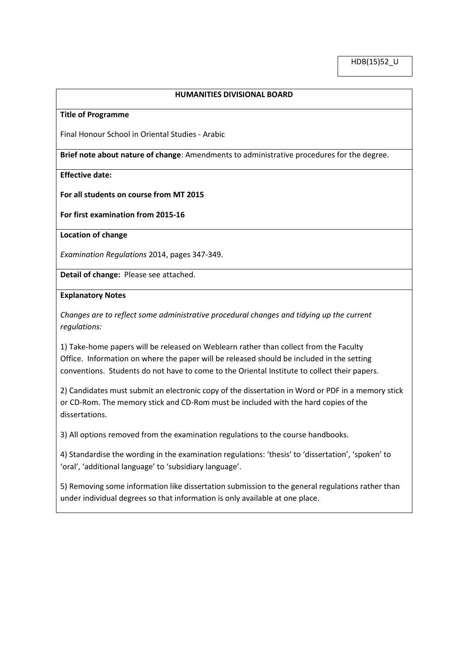## **HUMANITIES DIVISIONAL BOARD**

### **Title of Programme**

Final Honour School in Oriental Studies - Arabic

**Brief note about nature of change**: Amendments to administrative procedures for the degree.

## **Effective date:**

#### **For all students on course from MT 2015**

**For first examination from 2015-16**

**Location of change**

*Examination Regulations* 2014, pages 347-349.

**Detail of change:** Please see attached.

### **Explanatory Notes**

*Changes are to reflect some administrative procedural changes and tidying up the current regulations:*

1) Take-home papers will be released on Weblearn rather than collect from the Faculty Office. Information on where the paper will be released should be included in the setting conventions. Students do not have to come to the Oriental Institute to collect their papers.

2) Candidates must submit an electronic copy of the dissertation in Word or PDF in a memory stick or CD-Rom. The memory stick and CD-Rom must be included with the hard copies of the dissertations.

3) All options removed from the examination regulations to the course handbooks.

4) Standardise the wording in the examination regulations: 'thesis' to 'dissertation', 'spoken' to 'oral', 'additional language' to 'subsidiary language'.

5) Removing some information like dissertation submission to the general regulations rather than under individual degrees so that information is only available at one place.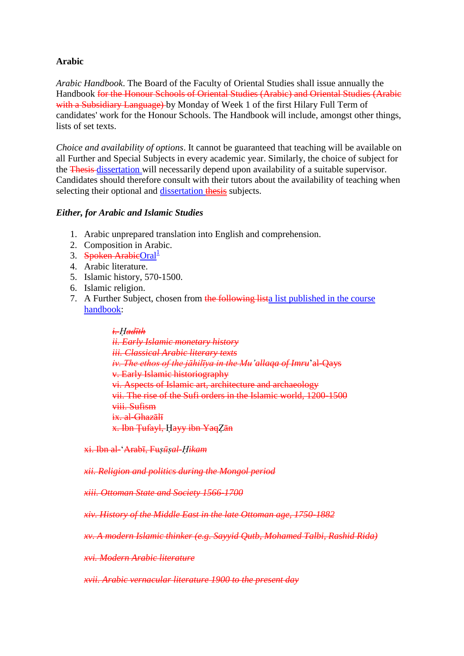# **Arabic**

*Arabic Handbook*. The Board of the Faculty of Oriental Studies shall issue annually the Handbook for the Honour Schools of Oriental Studies (Arabic) and Oriental Studies (Arabic with a Subsidiary Language) by Monday of Week 1 of the first Hilary Full Term of candidates' work for the Honour Schools. The Handbook will include, amongst other things, lists of set texts.

*Choice and availability of options*. It cannot be guaranteed that teaching will be available on all Further and Special Subjects in every academic year. Similarly, the choice of subject for the Thesis dissertation will necessarily depend upon availability of a suitable supervisor. Candidates should therefore consult with their tutors about the availability of teaching when selecting their optional and **dissertation thesis** subjects.

# *Either, for Arabic and Islamic Studies*

- 1. Arabic unprepared translation into English and comprehension.
- 2. Composition in Arabic.
- 3. Spoken ArabicOral $^{\perp}$
- 4. Arabic literature.
- 5. Islamic history, 570-1500.
- 6. Islamic religion.
- 7. A Further Subject, chosen from the following lista list published in the course handbook:

*i. Ḥadīth ii. Early Islamic monetary history iii. Classical Arabic literary texts iv. The ethos of the jāhilīya in the Mu'allaqa of Imru*'al-Qays v. Early Islamic historiography vi. Aspects of Islamic art, architecture and archaeology vii. The rise of the Sufi orders in the Islamic world, 1200-1500 viii. Sufism ix. al-Ghazālī x. Ibn Ţufayl, Ḥayy ibn YaqẒān

xi. Ibn al-'Arabī, Fu*ṣūṣal-Ḥikam* 

*xii. Religion and politics during the Mongol period* 

*xiii. Ottoman State and Society 1566-1700* 

*xiv. History of the Middle East in the late Ottoman age, 1750-1882* 

*xv. A modern Islamic thinker (e.g. Sayyid Qutb, Mohamed Talbi, Rashid Rida)* 

*xvi. Modern Arabic literature* 

*xvii. Arabic vernacular literature 1900 to the present day*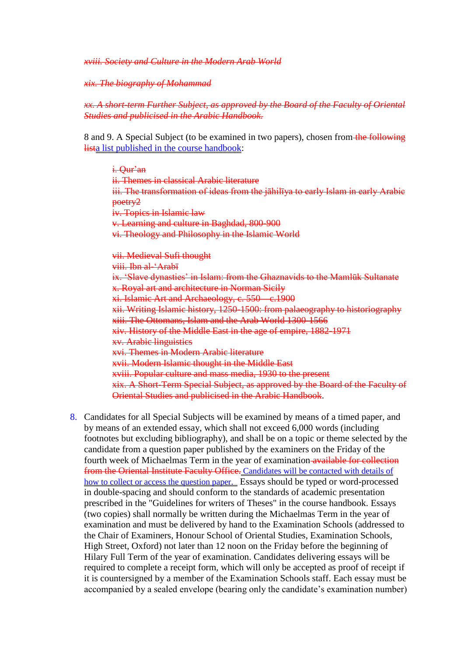*xviii. Society and Culture in the Modern Arab World* 

*xix. The biography of Mohammad* 

*xx. A short-term Further Subject, as approved by the Board of the Faculty of Oriental Studies and publicised in the Arabic Handbook.* 

8 and 9. A Special Subject (to be examined in two papers), chosen from the following lista list published in the course handbook:

i. Qur'an ii. Themes in classical Arabic literature iii. The transformation of ideas from the jāhilīya to early Islam in early Arabie poetry2 iv. Topics in Islamic law v. Learning and culture in Baghdad, 800-900 vi. Theology and Philosophy in the Islamic World vii. Medieval Sufi thought viii. Ibn al-'Arabī ix. 'Slave dynasties' in Islam: from the Ghaznavids to the Mamlūk Sultanate x. Royal art and architecture in Norman Sicily xi. Islamic Art and Archaeology, c. 550—c.1900 xii. Writing Islamic history, 1250-1500: from palaeography to historiography xiii. The Ottomans, Islam and the Arab World 1300-1566 xiv. History of the Middle East in the age of empire, 1882-1971 xv. Arabic linguistics xvi. Themes in Modern Arabic literature xvii. Modern Islamic thought in the Middle East xviii. Popular culture and mass media, 1930 to the present xix. A Short-Term Special Subject, as approved by the Board of the Faculty of Oriental Studies and publicised in the Arabic Handbook.

8. Candidates for all Special Subjects will be examined by means of a timed paper, and by means of an extended essay, which shall not exceed 6,000 words (including footnotes but excluding bibliography), and shall be on a topic or theme selected by the candidate from a question paper published by the examiners on the Friday of the fourth week of Michaelmas Term in the year of examination available for collection from the Oriental Institute Faculty Office. Candidates will be contacted with details of how to collect or access the question paper. Essays should be typed or word-processed in double-spacing and should conform to the standards of academic presentation prescribed in the "Guidelines for writers of Theses" in the course handbook. Essays (two copies) shall normally be written during the Michaelmas Term in the year of examination and must be delivered by hand to the Examination Schools (addressed to the Chair of Examiners, Honour School of Oriental Studies, Examination Schools, High Street, Oxford) not later than 12 noon on the Friday before the beginning of Hilary Full Term of the year of examination. Candidates delivering essays will be required to complete a receipt form, which will only be accepted as proof of receipt if it is countersigned by a member of the Examination Schools staff. Each essay must be accompanied by a sealed envelope (bearing only the candidate's examination number)